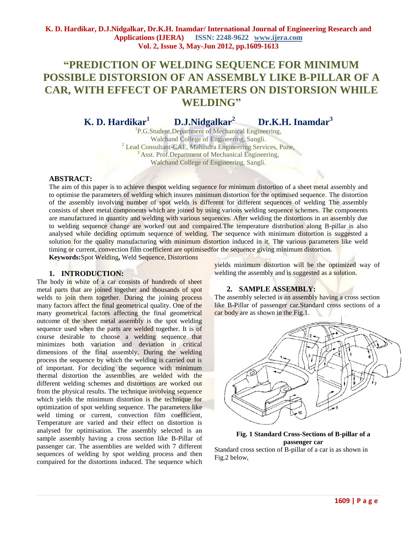# **"PREDICTION OF WELDING SEQUENCE FOR MINIMUM POSSIBLE DISTORSION OF AN ASSEMBLY LIKE B-PILLAR OF A CAR, WITH EFFECT OF PARAMETERS ON DISTORSION WHILE WELDING"**

**K. D. Hardikar<sup>1</sup> D.J.Nidgalkar<sup>2</sup>Dr.K.H. Inamdar<sup>3</sup>**

<sup>1</sup>P.G.Student, Department of Mechanical Engineering, Walchand College of Engineering, Sangli. <sup>2</sup> Lead Consultant-CAE, Mahindra Engineering Services, Pune, <sup>3</sup> Asst. Prof.Department of Mechanical Engineering, Walchand College of Engineering, Sangli.

## **ABSTRACT:**

The aim of this paper is to achieve thespot welding sequence for minimum distortion of a sheet metal assembly and to optimise the parameters of welding which insures minimum distortion for the optimised sequence. The distortion of the assembly involving number of spot welds is different for different sequences of welding The assembly consists of sheet metal components which are joined by using various welding sequence schemes. The components are manufactured in quantity and welding with various sequences. After welding the distortions in an assembly due to welding sequence change are worked out and compaired.The temperature distribution along B-pillar is also analysed while deciding optimum sequence of welding. The sequence with minimum distortion is suggested a solution for the quality manufacturing with minimum distortion induced in it. The various parameters like weld timing or current, convection film coefficient are optimisedfor the sequence giving minimum distortion.

**Keywords:**Spot Welding**,** Weld Sequence, Distortions

# **1. INTRODUCTION:**

The body in white of a car consists of hundreds of sheet metal parts that are joined together and thousands of spot welds to join them together. During the joining process many factors affect the final geometrical quality. One of the many geometrical factors affecting the final geometrical outcome of the sheet metal assembly is the spot welding sequence used when the parts are welded together. It is of course desirable to choose a welding sequence that minimizes both variation and deviation in critical dimensions of the final assembly. During the welding process the sequence by which the welding is carried out is of important. For deciding the sequence with minimum thermal distortion the assemblies are welded with the different welding schemes and distortions are worked out from the physical results. The technique involving sequence which yields the minimum distortion is the technique for optimization of spot welding sequence. The parameters like weld timing or current, convection film coefficient, Temperature are varied and their effect on distortion is analysed for optimisation. The assembly selected is an sample assembly having a cross section like B-Pillar of passenger car. The assemblies are welded with 7 different sequences of welding by spot welding process and then compaired for the distortions induced. The sequence which

yields minimum distortion will be the optimized way of welding the assembly and is suggested as a solution.

## **2. SAMPLE ASSEMBLY:**

The assembly selected is an assembly having a cross section like B-Pillar of passenger car.Standard cross sections of a car body are as shown in the Fig.1.



**Fig. 1 Standard Cross-Sections of B-pillar of a passenger car** Standard cross section of B-pillar of a car is as shown in Fig.2 below,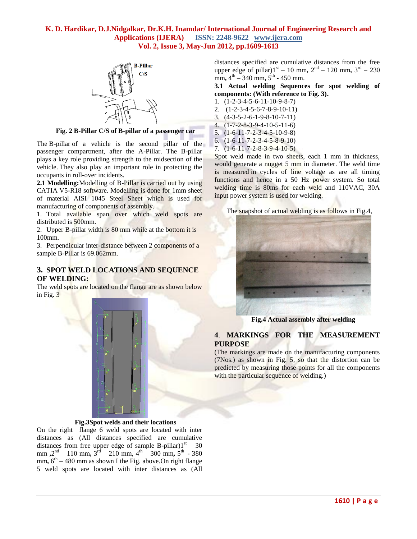

**Fig. 2 B-Pillar C/S of B-pillar of a passenger car**

The B-pillar of a vehicle is the second pillar of the passenger compartment, after the A-Pillar. The B-pillar plays a key role providing strength to the midsection of the vehicle. They also play an important role in protecting the occupants in roll-over incidents.

**2.1 Modelling:**Modelling of B-Pillar is carried out by using CATIA V5-R18 software. Modelling is done for 1mm sheet of material AISI 1045 Steel Sheet which is used for manufacturing of components of assembly.

1. Total available span over which weld spots are distributed is 500mm.

2. Upper B-pillar width is 80 mm while at the bottom it is 100mm.

3. Perpendicular inter-distance between 2 components of a sample B-Pillar is 69.062mm.

# **3. SPOT WELD LOCATIONS AND SEQUENCE OF WELDING:**

The weld spots are located on the flange are as shown below in Fig. 3



## **Fig.3Spot welds and their locations**

On the right flange 6 weld spots are located with inter distances as (All distances specified are cumulative distances from free upper edge of sample B-pillar) $1^{st}$  – 30 mm,  $2<sup>nd</sup> - 110$  mm,  $3<sup>rd</sup> - 210$  mm,  $4<sup>th</sup> - 300$  mm,  $5<sup>th</sup> - 380$ mm,  $6<sup>th</sup> - 480$  mm as shown I the Fig. above. On right flange 5 weld spots are located with inter distances as (All

distances specified are cumulative distances from the free upper edge of pillar) $1^{st} - 10$  mm,  $2^{nd} - 120$  mm,  $3^{rd} - 230$  $\text{mm}$ ,  $4^{\text{th}} - 340 \text{ mm}$ ,  $5^{\text{th}}$  - 450 mm.

**3.1 Actual welding Sequences for spot welding of components: (With reference to Fig. 3).**

- 1. (1-2-3-4-5-6-11-10-9-8-7)
- 2. (1-2-3-4-5-6-7-8-9-10-11)
- 3. (4-3-5-2-6-1-9-8-10-7-11)
- 4. (1-7-2-8-3-9-4-10-5-11-6)
- 5. (1-6-11-7-2-3-4-5-10-9-8)
- 6. (1-6-11-7-2-3-4-5-8-9-10) 7. (1-6-11-7-2-8-3-9-4-10-5)

Spot weld made in two sheets, each 1 mm in thickness, would generate a nugget 5 mm in diameter. The weld time is measured in cycles of line voltage as are all timing functions and hence in a 50 Hz power system. So total welding time is 80ms for each weld and 110VAC, 30A input power system is used for welding.

The snapshot of actual welding is as follows in Fig.4,



**Fig.4 Actual assembly after welding**

# **4**. **MARKINGS FOR THE MEASUREMENT PURPOSE**

(The markings are made on the manufacturing components (7Nos.) as shown in Fig. 5, so that the distortion can be predicted by measuring those points for all the components with the particular sequence of welding.)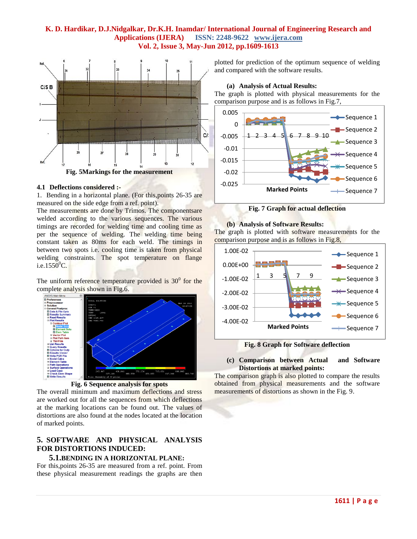

#### **4.1 Deflections considered :-**

1. Bending in a horizontal plane. (For this,points 26-35 are measured on the side edge from a ref. point).

The measurements are done by Trimos. The componentsare welded according to the various sequences. The various timings are recorded for welding time and cooling time as per the sequence of welding. The welding time being constant taken as 80ms for each weld. The timings in between two spots i.e. cooling time is taken from physical welding constraints. The spot temperature on flange i.e.1550 $^0C$ .

The uniform reference temperature provided is  $30^{\circ}$  for the complete analysis shown in Fig.6.



**Fig. 6 Sequence analysis for spots**

The overall minimum and maximum deflections and stress are worked out for all the sequences from which deflections at the marking locations can be found out. The values of distortions are also found at the nodes located at the location of marked points.

# **5. SOFTWARE AND PHYSICAL ANALYSIS FOR DISTORTIONS INDUCED:**

# **5.1.BENDING IN A HORIZONTAL PLANE:**

For this,points 26-35 are measured from a ref. point. From these physical measurement readings the graphs are then

plotted for prediction of the optimum sequence of welding and compared with the software results.

#### **(a) Analysis of Actual Results:**

The graph is plotted with physical measurements for the comparison purpose and is as follows in Fig.7,



**Fig. 7 Graph for actual deflection**

#### **(b) Analysis of Software Results:**

The graph is plotted with software measurements for the comparison purpose and is as follows in Fig.8,



**Fig. 8 Graph for Software deflection**

## **(c) Comparison between Actual and Software Distortions at marked points:**

The comparison graph is also plotted to compare the results obtained from physical measurements and the software measurements of distortions as shown in the Fig. 9.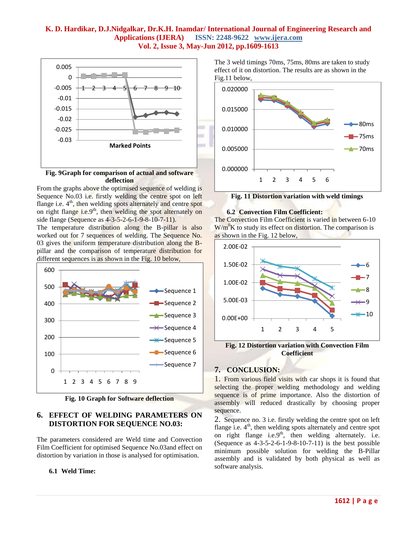

## **Fig. 9Graph for comparison of actual and software deflection**

From the graphs above the optimised sequence of welding is Sequence No.03 i.e. firstly welding the centre spot on left flange i.e.  $4<sup>th</sup>$ , then welding spots alternately and centre spot on right flange i.e.9<sup>th</sup>, then welding the spot alternately on side flange (Sequence as 4-3-5-2-6-1-9-8-10-7-11).

The temperature distribution along the B-pillar is also worked out for 7 sequences of welding. The Sequence No. 03 gives the uniform temperature distribution along the Bpillar and the comparison of temperature distribution for different sequences is as shown in the Fig. 10 below,



**Fig. 10 Graph for Software deflection**

# **6. EFFECT OF WELDING PARAMETERS ON DISTORTION FOR SEQUENCE NO.03:**

The parameters considered are Weld time and Convection Film Coefficient for optimised Sequence No.03and effect on distortion by variation in those is analysed for optimisation.

# **6.1 Weld Time:**

The 3 weld timings 70ms, 75ms, 80ms are taken to study effect of it on distortion. The results are as shown in the Fig.11 below,



**Fig. 11 Distortion variation with weld timings**

## **6.2 Convection Film Coefficient:**

The Convection Film Coefficient is varied in between 6-10  $W/m<sup>0</sup>K$  to study its effect on distortion. The comparison is as shown in the Fig. 12 below,



**Fig. 12 Distortion variation with Convection Film Coefficient**

# **7. CONCLUSION:**

1. From various field visits with car shops it is found that selecting the proper welding methodology and welding sequence is of prime importance. Also the distortion of assembly will reduced drastically by choosing proper sequence.

2. Sequence no. 3 i.e. firstly welding the centre spot on left flange i.e.  $4<sup>th</sup>$ , then welding spots alternately and centre spot on right flange i.e.9<sup>th</sup>, then welding alternately. i.e. (Sequence as 4-3-5-2-6-1-9-8-10-7-11) is the best possible minimum possible solution for welding the B-Pillar assembly and is validated by both physical as well as software analysis.